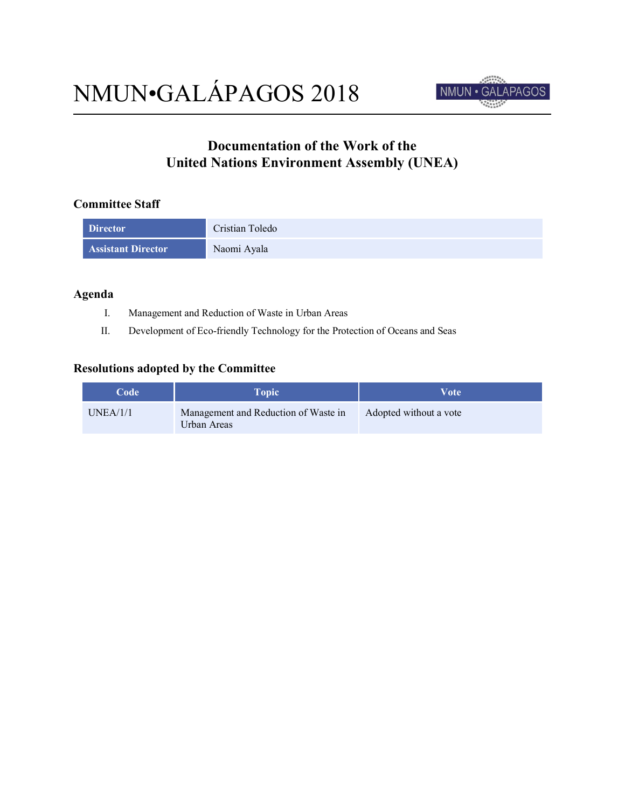

## **Documentation of the Work of the United Nations Environment Assembly (UNEA)**

## **Committee Staff**

| <b>Director</b>           | Cristian Toledo |
|---------------------------|-----------------|
| <b>Assistant Director</b> | Naomi Ayala     |

## **Agenda**

- I. Management and Reduction of Waste in Urban Areas
- II. Development of Eco-friendly Technology for the Protection of Oceans and Seas

## **Resolutions adopted by the Committee**

| Code     | <b>Topic</b>                                        | Vote                   |
|----------|-----------------------------------------------------|------------------------|
| UNEA/1/1 | Management and Reduction of Waste in<br>Urban Areas | Adopted without a vote |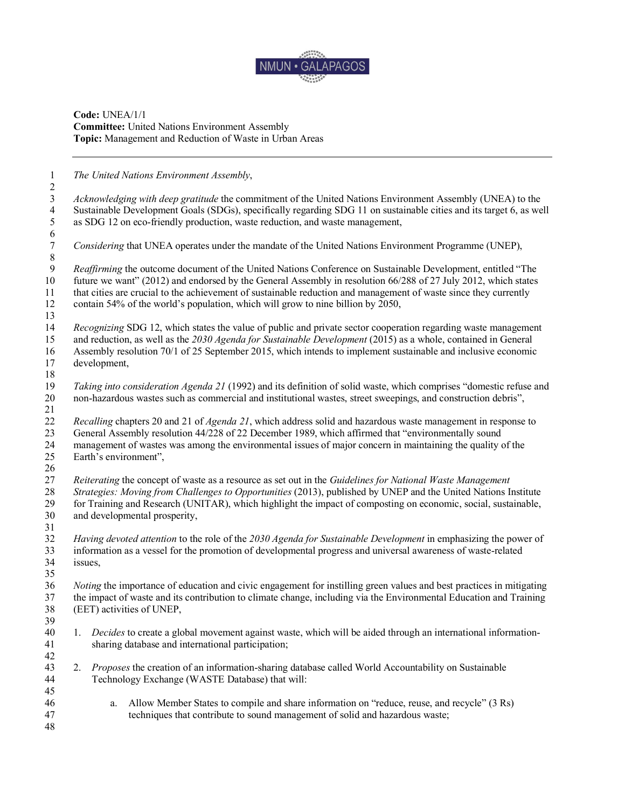

**Code:** UNEA/1/1 **Committee:** United Nations Environment Assembly **Topic:** Management and Reduction of Waste in Urban Areas

*The United Nations Environment Assembly*,

 *Acknowledging with deep gratitude* the commitment of the United Nations Environment Assembly (UNEA) to the Sustainable Development Goals (SDGs), specifically regarding SDG 11 on sustainable cities and its target 6, as well as SDG 12 on eco-friendly production, waste reduction, and waste management,  $\frac{6}{7}$ *Considering* that UNEA operates under the mandate of the United Nations Environment Programme (UNEP),

 *Reaffirming* the outcome document of the United Nations Conference on Sustainable Development, entitled "The future we want" (2012) and endorsed by the General Assembly in resolution 66/288 of 27 July 2012, which states that cities are crucial to the achievement of sustainable reduction and management of waste since they currently contain 54% of the world's population, which will grow to nine billion by 2050, 

 *Recognizing* SDG 12, which states the value of public and private sector cooperation regarding waste management and reduction, as well as the *2030 Agenda for Sustainable Development* (2015) as a whole, contained in General Assembly resolution 70/1 of 25 September 2015, which intends to implement sustainable and inclusive economic

 development, 

19 *Taking into consideration Agenda 21* (1992) and its definition of solid waste, which comprises "domestic refuse and<br>20 non-hazardous wastes such as commercial and institutional wastes, street sweepings, and constructio non-hazardous wastes such as commercial and institutional wastes, street sweepings, and construction debris",

 $\frac{21}{22}$  *Recalling* chapters 20 and 21 of *Agenda 21*, which address solid and hazardous waste management in response to General Assembly resolution 44/228 of 22 December 1989, which affirmed that "environmentally sound management of wastes was among the environmental issues of major concern in maintaining the quality of the Earth's environment",

 *Reiterating* the concept of waste as a resource as set out in the *Guidelines for National Waste Management Strategies: Moving from Challenges to Opportunities* (2013), published by UNEP and the United Nations Institute 29 for Training and Research (UNITAR), which highlight the impact of composting on economic, social, sustainable, and developmental prosperity, and developmental prosperity,

 $\frac{31}{32}$  *Having devoted attention* to the role of the *2030 Agenda for Sustainable Development* in emphasizing the power of information as a vessel for the promotion of developmental progress and universal awareness of waste-related issues,

 *Noting* the importance of education and civic engagement for instilling green values and best practices in mitigating the impact of waste and its contribution to climate change, including via the Environmental Education and Training (EET) activities of UNEP,

- 1. *Decides* to create a global movement against waste, which will be aided through an international information-sharing database and international participation;
- 2. *Proposes* the creation of an information-sharing database called World Accountability on Sustainable Technology Exchange (WASTE Database) that will:
- a. Allow Member States to compile and share information on "reduce, reuse, and recycle" (3 Rs) techniques that contribute to sound management of solid and hazardous waste;
-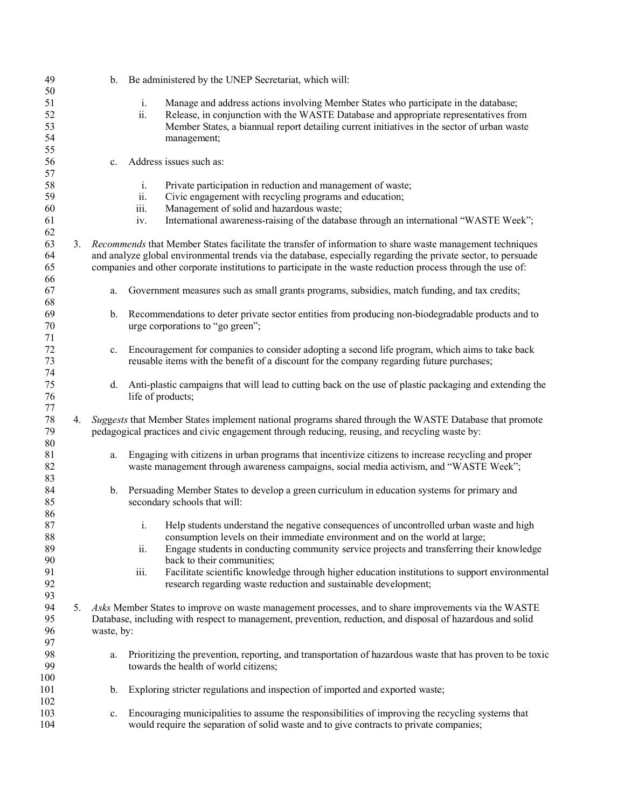| 49  |    | b.             | Be administered by the UNEP Secretariat, which will:                                                           |
|-----|----|----------------|----------------------------------------------------------------------------------------------------------------|
| 50  |    |                |                                                                                                                |
| 51  |    |                | Manage and address actions involving Member States who participate in the database;<br>i.                      |
| 52  |    |                | Release, in conjunction with the WASTE Database and appropriate representatives from<br>ii.                    |
| 53  |    |                | Member States, a biannual report detailing current initiatives in the sector of urban waste                    |
| 54  |    |                | management;                                                                                                    |
| 55  |    |                |                                                                                                                |
| 56  |    | $c_{\cdot}$    | Address issues such as:                                                                                        |
| 57  |    |                |                                                                                                                |
| 58  |    |                | Private participation in reduction and management of waste;<br>$\mathbf{i}$ .                                  |
| 59  |    |                | Civic engagement with recycling programs and education;<br>ii.                                                 |
| 60  |    |                | Management of solid and hazardous waste;<br>iii.                                                               |
| 61  |    |                | International awareness-raising of the database through an international "WASTE Week";<br>IV.                  |
| 62  |    |                |                                                                                                                |
| 63  |    |                | 3. Recommends that Member States facilitate the transfer of information to share waste management techniques   |
| 64  |    |                | and analyze global environmental trends via the database, especially regarding the private sector, to persuade |
|     |    |                |                                                                                                                |
| 65  |    |                | companies and other corporate institutions to participate in the waste reduction process through the use of:   |
| 66  |    |                |                                                                                                                |
| 67  |    | a.             | Government measures such as small grants programs, subsidies, match funding, and tax credits;                  |
| 68  |    |                |                                                                                                                |
| 69  |    | $\mathbf b$ .  | Recommendations to deter private sector entities from producing non-biodegradable products and to              |
| 70  |    |                | urge corporations to "go green";                                                                               |
| 71  |    |                |                                                                                                                |
| 72  |    | $\mathbf{c}$ . | Encouragement for companies to consider adopting a second life program, which aims to take back                |
| 73  |    |                | reusable items with the benefit of a discount for the company regarding future purchases;                      |
| 74  |    |                |                                                                                                                |
| 75  |    | d.             | Anti-plastic campaigns that will lead to cutting back on the use of plastic packaging and extending the        |
| 76  |    |                | life of products;                                                                                              |
| 77  |    |                |                                                                                                                |
| 78  | 4. |                | Suggests that Member States implement national programs shared through the WASTE Database that promote         |
| 79  |    |                | pedagogical practices and civic engagement through reducing, reusing, and recycling waste by:                  |
| 80  |    |                |                                                                                                                |
| 81  |    | a.             | Engaging with citizens in urban programs that incentivize citizens to increase recycling and proper            |
| 82  |    |                | waste management through awareness campaigns, social media activism, and "WASTE Week";                         |
| 83  |    |                |                                                                                                                |
| 84  |    | b.             | Persuading Member States to develop a green curriculum in education systems for primary and                    |
| 85  |    |                | secondary schools that will:                                                                                   |
| 86  |    |                |                                                                                                                |
| 87  |    |                | Help students understand the negative consequences of uncontrolled urban waste and high<br>$\mathbf{i}$ .      |
| 88  |    |                | consumption levels on their immediate environment and on the world at large;                                   |
| 89  |    |                | Engage students in conducting community service projects and transferring their knowledge<br>ii.               |
| 90  |    |                | back to their communities;                                                                                     |
| 91  |    |                | Facilitate scientific knowledge through higher education institutions to support environmental<br>iii.         |
| 92  |    |                | research regarding waste reduction and sustainable development;                                                |
| 93  |    |                |                                                                                                                |
| 94  |    |                |                                                                                                                |
|     | 5. |                | Asks Member States to improve on waste management processes, and to share improvements via the WASTE           |
| 95  |    |                | Database, including with respect to management, prevention, reduction, and disposal of hazardous and solid     |
| 96  |    | waste, by:     |                                                                                                                |
| 97  |    |                |                                                                                                                |
| 98  |    | a.             | Prioritizing the prevention, reporting, and transportation of hazardous waste that has proven to be toxic      |
| 99  |    |                | towards the health of world citizens;                                                                          |
| 100 |    |                |                                                                                                                |
| 101 |    | $\mathbf b$ .  | Exploring stricter regulations and inspection of imported and exported waste;                                  |
| 102 |    |                |                                                                                                                |
| 103 |    | c.             | Encouraging municipalities to assume the responsibilities of improving the recycling systems that              |
| 104 |    |                | would require the separation of solid waste and to give contracts to private companies;                        |